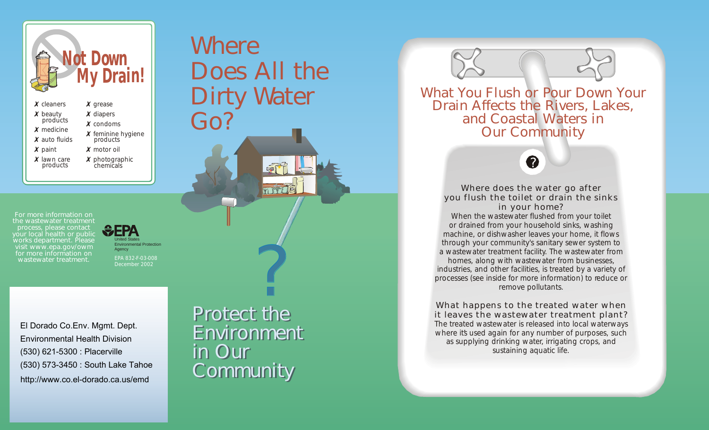? *Protect the Protect the Environment Environment in Our in Our Community Community*

*For more information on the wastewater treatment process, please contact your local health or public works department. Please visit www.epa.gov/owm for more information on wastewater treatment.*

*Where* 

*Does All the*

*Dirty Water*



*Go?*



*Where does the water go after you flush the toilet or drain the sinks in your home? When the wastewater flushed from your toilet or drained from your household sinks, washing machine, or dishwasher leaves your home, it flows through your community's sanitary sewer system to a wastewater treatment facility. The wastewater from homes, along with wastewater from businesses, industries, and other facilities, is treated by a variety of processes (see inside for more information) to reduce or remove pollutants.*

*What happens to the treated water when it leaves the wastewater treatment plant? The treated wastewater is released into local waterways*  where its used again for any number of purposes, such *as supplying drinking water, irrigating crops, and sustaining aquatic life.*





What You Flush or Pour Down Your Drain Affects the Rivers, Lakes, and Coastal Waters in Our Community



El Dorado Co.Env. Mgmt. Dept. Environmental Health Division (530) 621-5300 : Placerville (530) 573-3450 : South Lake Tahoe http://www.co.el-dorado.ca.us/emd